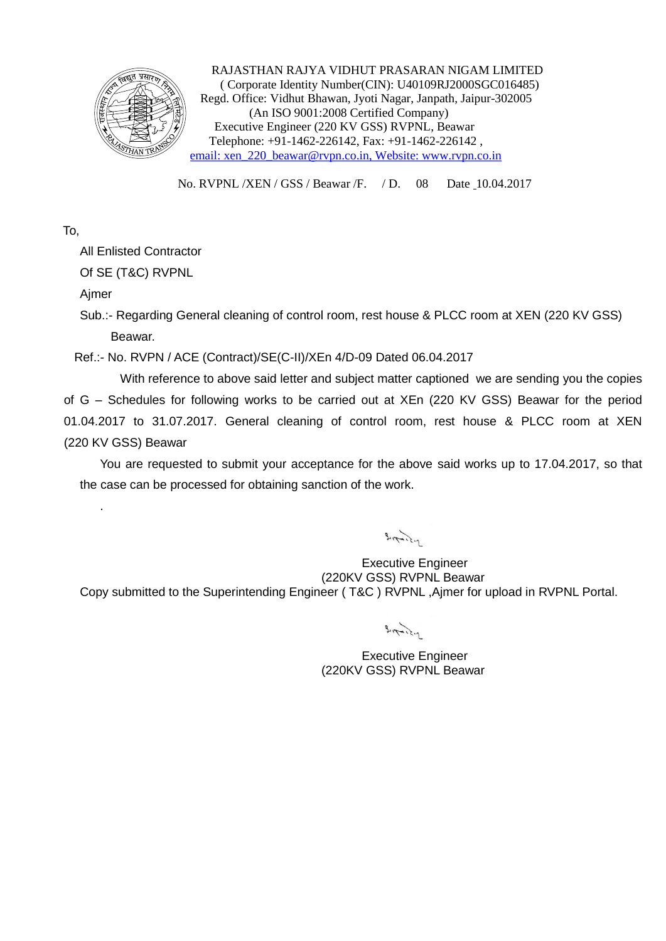

 RAJASTHAN RAJYA VIDHUT PRASARAN NIGAM LIMITED ( Corporate Identity Number(CIN): U40109RJ2000SGC016485) Regd. Office: Vidhut Bhawan, Jyoti Nagar, Janpath, Jaipur-302005 (An ISO 9001:2008 Certified Company) Executive Engineer (220 KV GSS) RVPNL, Beawar Telephone: +91-1462-226142, Fax: +91-1462-226142 , email: xen\_220\_beawar@rvpn.co.in, Website: www.rvpn.co.in

No. RVPNL /XEN / GSS / Beawar /F. / D. 08 Date 10.04.2017

To,

All Enlisted Contractor

Of SE (T&C) RVPNL

Ajmer

.

Sub.:- Regarding General cleaning of control room, rest house & PLCC room at XEN (220 KV GSS) Beawar.

Ref.:- No. RVPN / ACE (Contract)/SE(C-II)/XEn 4/D-09 Dated 06.04.2017

With reference to above said letter and subject matter captioned we are sending you the copies of G – Schedules for following works to be carried out at XEn (220 KV GSS) Beawar for the period 01.04.2017 to 31.07.2017. General cleaning of control room, rest house & PLCC room at XEN (220 KV GSS) Beawar

You are requested to submit your acceptance for the above said works up to 17.04.2017, so that the case can be processed for obtaining sanction of the work.

 $3\pi$ 

Executive Engineer (220KV GSS) RVPNL Beawar Copy submitted to the Superintending Engineer ( T&C ) RVPNL ,Ajmer for upload in RVPNL Portal.

 $3\pi$ 

Executive Engineer (220KV GSS) RVPNL Beawar